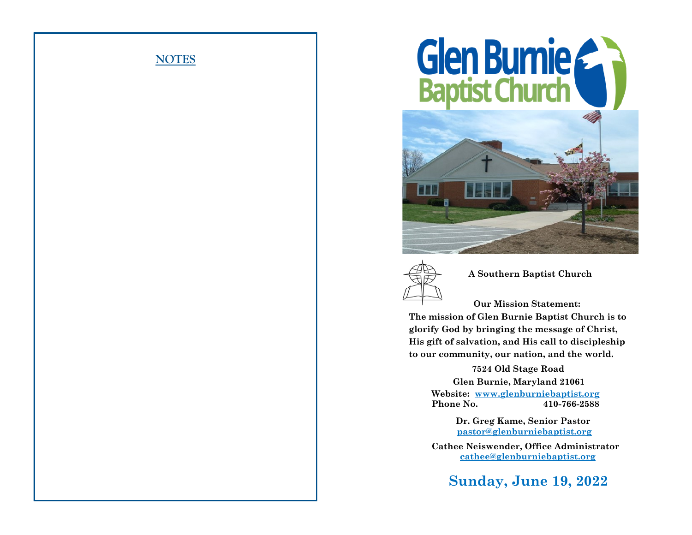





 **A Southern Baptist Church**

 **Our Mission Statement: The mission of Glen Burnie Baptist Church is to glorify God by bringing the message of Christ, His gift of salvation, and His call to discipleship to our community, our nation, and the world.**

> **7524 Old Stage Road Glen Burnie, Maryland 21061 Website: www.glenburniebaptist.org Phone No. 410-766-2588**

> > **Dr. Greg Kame, Senior Pastor pastor@glenburniebaptist.org**

 **Cathee Neiswender, Office Administrator cathee@glenburniebaptist.org**

 **Sunday, June 19, 2022**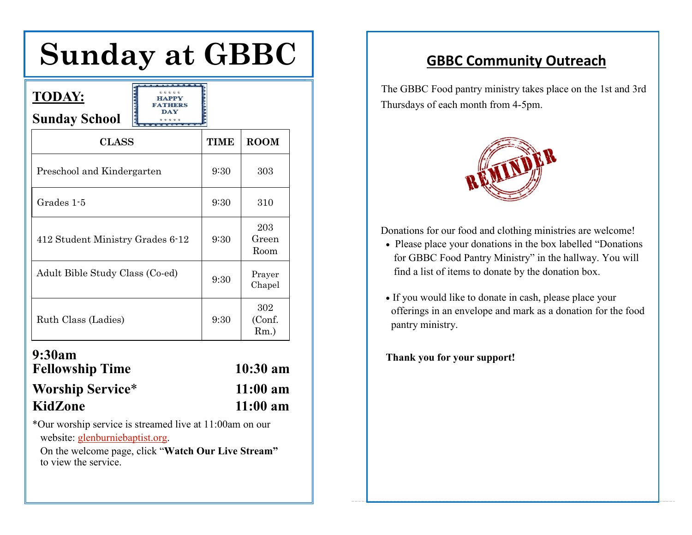# **Sunday at GBBC**

| <b>TODAY:</b><br>HAPPV<br><b>FATHERS</b><br>DAY<br><b>Sunday School</b> |             |                          |
|-------------------------------------------------------------------------|-------------|--------------------------|
| <b>CLASS</b>                                                            | <b>TIME</b> | <b>ROOM</b>              |
| Preschool and Kindergarten                                              | 9:30        | 303                      |
| Grades 1-5                                                              | 9:30        | 310                      |
| 412 Student Ministry Grades 6-12                                        | 9:30        | 203<br>Green<br>Room     |
| Adult Bible Study Class (Co-ed)                                         | 9:30        | Prayer<br>Chapel         |
| Ruth Class (Ladies)                                                     | 9:30        | 302<br>(Conf.<br>$Rm.$ ) |
| 9:30am<br>Fellowshin Time                                               |             | 10.30<br>9 <sub>m</sub>  |

| <b>Fellowship Time</b>  | $10:30 \text{ am}$ |
|-------------------------|--------------------|
| <b>Worship Service*</b> | $11:00 \text{ am}$ |
| KidZone                 | $11:00 \text{ am}$ |

"**Watch Our Live Stream"** to view \*Our worship service is streamed live at 11:00am on our website: glenburniebaptist.org.

the Service. **Exercise of Service Stream**<br>
On the welcome page, click "**Watch Our Live Stream**" to view the service.

# **GBBC Community Outreach**

The GBBC Food pantry ministry takes place on the 1st and 3rd Thursdays of each month from 4-5pm.



Donations for our food and clothing ministries are welcome!

- Please place your donations in the box labelled "Donations for GBBC Food Pantry Ministry" in the hallway. You will find a list of items to donate by the donation box.
- If you would like to donate in cash, please place your offerings in an envelope and mark as a donation for the food pantry ministry.

**Thank you for your support!**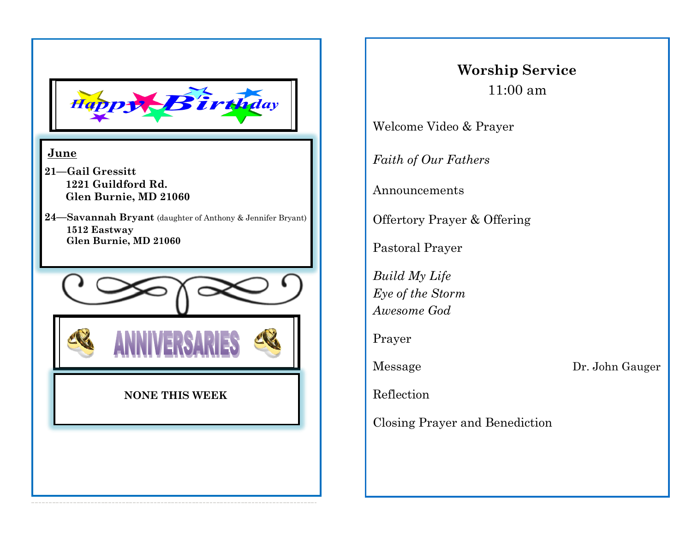

### **June**

- **21—Gail Gressitt 1221 Guildford Rd. Glen Burnie, MD 21060**
- **24—Savannah Bryant** (daughter of Anthony & Jennifer Bryant) **1512 Eastway Glen Burnie, MD 21060**



# **Worship Service** 11:00 am

Welcome Video & Prayer

*Faith of Our Fathers*

Announcements

Offertory Prayer & Offering

Pastoral Prayer

*Build My Life Eye of the Storm Awesome God*

Prayer

Message Dr. John Gauger

Reflection

Closing Prayer and Benediction